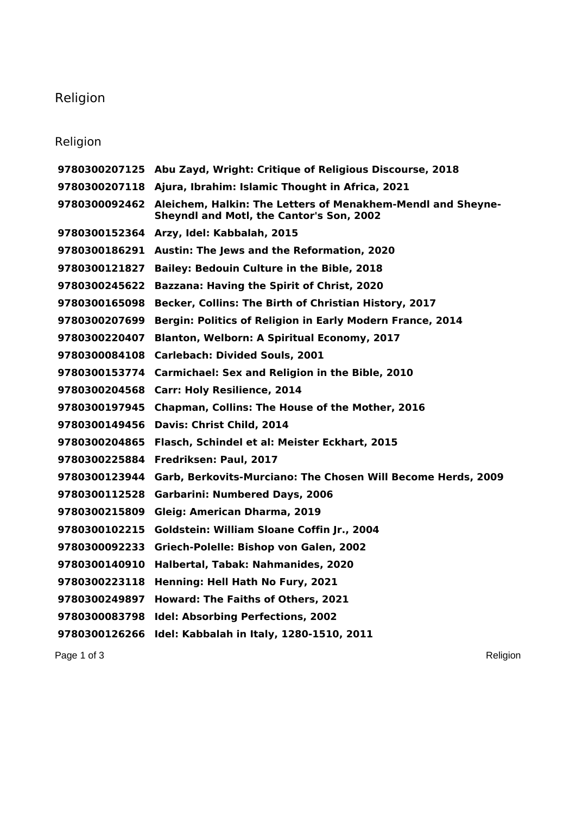## Religion

## Religion

|               | 9780300207125 Abu Zayd, Wright: Critique of Religious Discourse, 2018                                                        |
|---------------|------------------------------------------------------------------------------------------------------------------------------|
| 9780300207118 | Ajura, Ibrahim: Islamic Thought in Africa, 2021                                                                              |
|               | 9780300092462 Aleichem, Halkin: The Letters of Menakhem-Mendl and Sheyne-<br><b>Sheyndl and Motl, the Cantor's Son, 2002</b> |
|               | 9780300152364 Arzy, Idel: Kabbalah, 2015                                                                                     |
| 9780300186291 | <b>Austin: The Jews and the Reformation, 2020</b>                                                                            |
| 9780300121827 | <b>Bailey: Bedouin Culture in the Bible, 2018</b>                                                                            |
| 9780300245622 | <b>Bazzana: Having the Spirit of Christ, 2020</b>                                                                            |
| 9780300165098 | Becker, Collins: The Birth of Christian History, 2017                                                                        |
| 9780300207699 | Bergin: Politics of Religion in Early Modern France, 2014                                                                    |
| 9780300220407 | <b>Blanton, Welborn: A Spiritual Economy, 2017</b>                                                                           |
| 9780300084108 | <b>Carlebach: Divided Souls, 2001</b>                                                                                        |
| 9780300153774 | Carmichael: Sex and Religion in the Bible, 2010                                                                              |
| 9780300204568 | <b>Carr: Holy Resilience, 2014</b>                                                                                           |
| 9780300197945 | <b>Chapman, Collins: The House of the Mother, 2016</b>                                                                       |
| 9780300149456 | Davis: Christ Child, 2014                                                                                                    |
| 9780300204865 | Flasch, Schindel et al: Meister Eckhart, 2015                                                                                |
| 9780300225884 | Fredriksen: Paul, 2017                                                                                                       |
| 9780300123944 | Garb, Berkovits-Murciano: The Chosen Will Become Herds, 2009                                                                 |
| 9780300112528 | <b>Garbarini: Numbered Days, 2006</b>                                                                                        |
| 9780300215809 | Gleig: American Dharma, 2019                                                                                                 |
| 9780300102215 | Goldstein: William Sloane Coffin Jr., 2004                                                                                   |
| 9780300092233 | Griech-Polelle: Bishop von Galen, 2002                                                                                       |
| 9780300140910 | Halbertal, Tabak: Nahmanides, 2020                                                                                           |
| 9780300223118 | Henning: Hell Hath No Fury, 2021                                                                                             |
| 9780300249897 | <b>Howard: The Faiths of Others, 2021</b>                                                                                    |
| 9780300083798 | <b>Idel: Absorbing Perfections, 2002</b>                                                                                     |
| 9780300126266 | Idel: Kabbalah in Italy, 1280-1510, 2011                                                                                     |

Page 1 of 3 Religion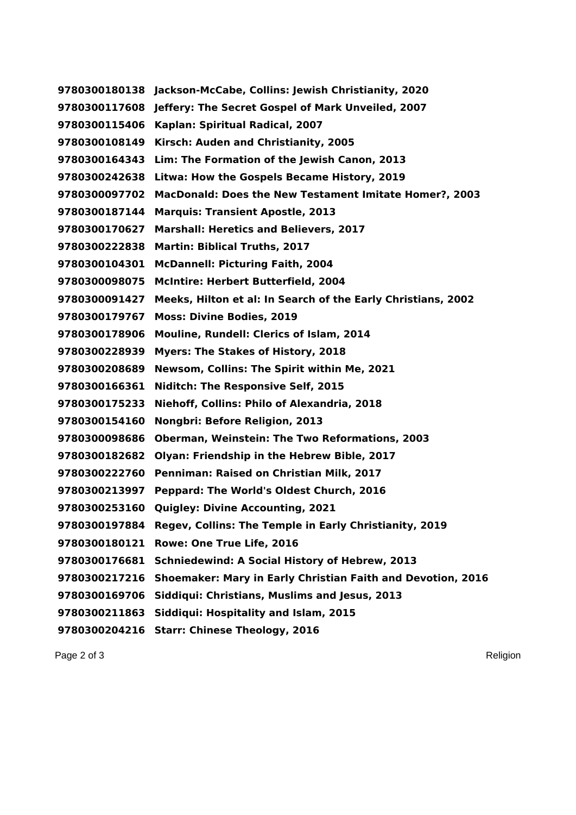**Jackson-McCabe, Collins: Jewish Christianity, 2020 Jeffery: The Secret Gospel of Mark Unveiled, 2007 Kaplan: Spiritual Radical, 2007 Kirsch: Auden and Christianity, 2005 Lim: The Formation of the Jewish Canon, 2013 Litwa: How the Gospels Became History, 2019 MacDonald: Does the New Testament Imitate Homer?, 2003 Marquis: Transient Apostle, 2013 Marshall: Heretics and Believers, 2017 Martin: Biblical Truths, 2017 McDannell: Picturing Faith, 2004 McIntire: Herbert Butterfield, 2004 Meeks, Hilton et al: In Search of the Early Christians, 2002 Moss: Divine Bodies, 2019 Mouline, Rundell: Clerics of Islam, 2014 Myers: The Stakes of History, 2018 Newsom, Collins: The Spirit within Me, 2021 Niditch: The Responsive Self, 2015 Niehoff, Collins: Philo of Alexandria, 2018 Nongbri: Before Religion, 2013 Oberman, Weinstein: The Two Reformations, 2003 Olyan: Friendship in the Hebrew Bible, 2017 Penniman: Raised on Christian Milk, 2017 Peppard: The World's Oldest Church, 2016 Quigley: Divine Accounting, 2021 Regev, Collins: The Temple in Early Christianity, 2019 Rowe: One True Life, 2016 Schniedewind: A Social History of Hebrew, 2013 Shoemaker: Mary in Early Christian Faith and Devotion, 2016 Siddiqui: Christians, Muslims and Jesus, 2013 Siddiqui: Hospitality and Islam, 2015 Starr: Chinese Theology, 2016**

Page 2 of 3 Religion